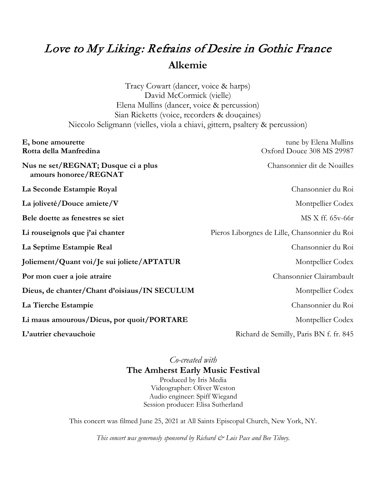# Love to My Liking: Refrains of Desire in Gothic France **Alkemie**

Tracy Cowart (dancer, voice & harps) David McCormick (vielle) Elena Mullins (dancer, voice & percussion) Sian Ricketts (voice, recorders & douçaines) Niccolo Seligmann (vielles, viola a chiavi, gittern, psaltery & percussion)

| E, bone amourette                                            | tune by Elena Mullins                         |
|--------------------------------------------------------------|-----------------------------------------------|
| Rotta della Manfredina                                       | Oxford Douce 308 MS 29987                     |
| Nus ne set/REGNAT; Dusque ci a plus<br>amours honoree/REGNAT | Chansonnier dit de Noailles                   |
| La Seconde Estampie Royal                                    | Chansonnier du Roi                            |
| La joliveté/Douce amiete/V                                   | Montpellier Codex                             |
| Bele doette as fenestres se siet                             | MS X ff. 65y-66r                              |
| Li rouseignols que j'ai chanter                              | Pieros Liborgnes de Lille, Chansonnier du Roi |
| La Septime Estampie Real                                     | Chansonnier du Roi                            |
| Joliement/Quant voi/Je sui joliete/APTATUR                   | Montpellier Codex                             |
| Por mon cuer a joie atraire                                  | Chansonnier Clairambault                      |
| Dieus, de chanter/Chant d'oisiaus/IN SECULUM                 | Montpellier Codex                             |
| La Tierche Estampie                                          | Chansonnier du Roi                            |
| Li maus amourous/Dieus, por quoit/PORTARE                    | Montpellier Codex                             |
| L'autrier chevauchoie                                        | Richard de Semilly, Paris BN f. fr. 845       |

## *Co-created with* **The Amherst Early Music Festival**

Produced by Iris Media Videographer: Oliver Weston Audio engineer: Spiff Wiegand Session producer: Elisa Sutherland

This concert was filmed June 25, 2021 at All Saints Episcopal Church, New York, NY.

*This concert was generously sponsored by Richard & Lois Pace and Bee Tilney.*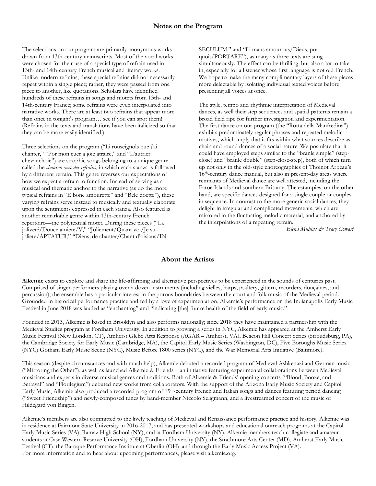The selections on our program are primarily anonymous works drawn from 13th-century manuscripts. Most of the vocal works were chosen for their use of a special type of refrain used in 13th- and 14th-century French musical and literary works. Unlike modern refrains, these special refrains did not necessarily repeat within a single piece; rather, they were passed from one piece to another, like quotations. Scholars have identified hundreds of these refrains in songs and motets from 13th- and 14th-century France; some refrains were even interpolated into narrative works. There are at least two refrains that appear more than once in tonight's program… see if you can spot them! (Refrains in the texts and translations have been italicized so that they can be more easily identified.)

Three selections on the program ("Li rouseignols que j'ai chanter," "Por mon cuer a joie atraire," and "L'autrier chevauchoie") are strophic songs belonging to a unique genre called the *chanson avec des refrains*, in which each stanza is followed by a different refrain. This genre reverses our expectations of how we expect a refrain to function. Instead of serving as a musical and thematic anchor to the narrative (as do the more typical refrains in "E bone amourette" and "Bele doette"), these varying refrains serve instead to musically and textually elaborate upon the sentiments expressed in each stanza. Also featured is another remarkable genre within 13th-century French repertoire—the polytextual motet. During these pieces ("La joliveté/Douce amiete/V," "Joliement/Quant voi/Je sui joliete/APTATUR," "Dieus, de chanter/Chant d'oisiaus/IN

SECULUM," and "Li maus amourous/Dieus, por quoit/PORTARE"), as many as three texts are sung simultaneously. The effect can be thrilling, but also a lot to take in, especially for a listener whose first language is not old French. We hope to make the many complimentary layers of these pieces more delectable by isolating individual texted voices before presenting all voices at once.

The style, tempo and rhythmic interpretation of Medieval dances, as well their step sequences and spatial patterns remain a broad field ripe for further investigation and experimentation. The first dance on our program (the "Rotta della Manfredina") exhibits predominately regular phrases and repeated melodic motives, which imply that it fits within what sources describe as chain and round dances of a social nature. We postulate that it could have employed steps similar to the "branle simple" (stepclose) and "branle double" (step-close-step), both of which turn up not only in the old-style choreographies of Thoinot Arbeau's 16th-century dance manual, but also in present-day areas where remnants of Medieval dance are well attested, including the Faroe Islands and southern Brittany. The estampies, on the other hand, are specific dances designed for a single couple or couples in sequence. In contrast to the more generic social dances, they delight in irregular and complicated movements, which are mirrored in the fluctuating melodic material, and anchored by the interpolations of a repeating refrain.

*Elena Mullins & Tracy Cowart*

### **About the Artists**

**Alkemie** exists to explore and share the life-affirming and alternative perspectives to be experienced in the sounds of centuries past. Comprised of singer-performers playing over a dozen instruments (including vielles, harps, psaltery, gittern, recorders, douçaines, and percussion), the ensemble has a particular interest in the porous boundaries between the court and folk music of the Medieval period. Grounded in historical performance practice and fed by a love of experimentation, Alkemie's performance on the Indianapolis Early Music Festival in June 2018 was lauded as "enchanting" and "indicating [the] future health of the field of early music."

Founded in 2013, Alkemie is based in Brooklyn and also performs nationally; since 2018 they have maintained a partnership with the Medieval Studies program at Fordham University. In addition to growing a series in NYC, Alkemie has appeared at the Amherst Early Music Festival (New London, CT), Amherst Glebe Arts Response (AGAR – Amherst, VA), Beacon Hill Concert Series (Stroudsburg, PA), the Cambridge Society for Early Music (Cambridge, MA), the Capitol Early Music Series (Washington, DC), Five Boroughs Music Series (NYC) Gotham Early Music Scene (NYC), Music Before 1800 series (NYC), and the War Memorial Arts Initiative (Baltimore).

This season (despite circumstances and with much help), Alkemie debuted a recorded program of Medieval Ashkenazi and German music ("Mirroring the Other"), as well as launched Alkemie & Friends – an initiative featuring experimental collaborations between Medieval musicians and experts in diverse musical genres and traditions. Both of Alkemie & Friends' opening concerts ("Blood, Booze, and Betrayal" and "Florilegium") debuted new works from collaborators. With the support of the Arizona Early Music Society and Capitol Early Music, Alkemie also produced a recorded program of 15th-century French and Italian songs and dances featuring period dancing ("Sweet Friendship") and newly-composed tunes by band-member Niccolo Seligmann, and a livestreamed concert of the music of Hildegard von Bingen.

Alkemie's members are also committed to the lively teaching of Medieval and Renaissance performance practice and history. Alkemie was in residence at Fairmont State University in 2016-2017, and has presented workshops and educational outreach programs at the Capitol Early Music Series (VA), Ramaz High School (NY), and at Fordham University (NY). Alkemie members teach collegiate and amateur students at Case Western Reserve University (OH), Fordham University (NY), the Strathmore Arts Center (MD), Amherst Early Music Festival (CT), the Baroque Performance Institute at Oberlin (OH), and through the Early Music Access Project (VA). For more information and to hear about upcoming performances, please visit alkemie.org.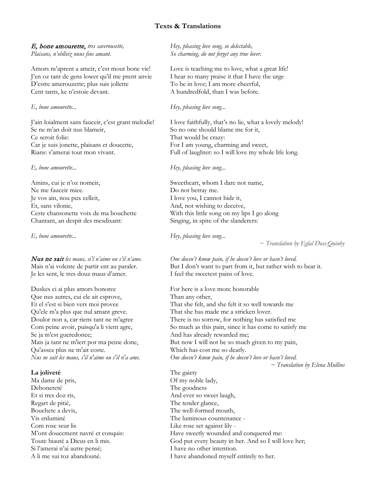### **Texts & Translations**

### E, bone amourette, *tres saverousette, Plaisans, n'oblïeiz nuns fins amant.*

Amors m'aprent a ameir, c'est mout bone vie! J'en oz tant de gens lower qu'il me prent anvie D'estre amerouzette; plus suis jolïette Cent tants, ke n'estoie devant.

### *E, bone amourette...*

J'ain loialment sans fauceir, c'est grant melodie! Se ne m'an doit nus blameir, Ce seroit folie: Car je suis jonette, plaisans et doucette, Rians: s'amerai tout mon vivant.

### *E, bone amourette...*

Amins, cui je n'oz nomeir, Ne me fauceir miee. Je vos ain, nou pux celleit, Et, sans vilonie, Ceste chansonette voix de ma bouchette Chantant, an despit des mesdixant:

*E, bone amourette...*

Nus ne sait *les maus, si'l n'aime ou s'il n'ame.* Mais n'ai volente de partir ent au paraler. Je les sent, le tres douz maus d'amer.

Duskes ci ai plus amors honoree Que nus autres, cui ele ait esprove, Et el s'est si bien vers moi provee Qu'ele m'a plus que nul amant greve. Doulor non a, car riens tant ne m'agree Com peine avoir, puisqu'a li vient agre, Se ja m'est gueredonee; Mais ja tant ne m'iert por ma peine done, Qu'assez plus ne m'ait coste. *Nus ne sait les maus, s'il n'aime ou s'il n'a ame.*

### **La joliveté**

Ma dame de pris, Debonereté Et si tres doz ris, Regart de pitié, Bouchete a devis, Vis enluminé Com rose seur lis M'ont doucement navré et conquis: Toute biauté a Dieus en li mis. Si l'amerai n'ai autre pensé; A li me sui toz abandouné.

*Hey, pleasing love song, so delectable, So charming, do not forget any true lover.*

Love is teaching me to love, what a great life! I hear so many praise it that I have the urge To be in love; I am more cheerful, A hundredfold, than I was before.

### *Hey, pleasing love song...*

I love faithfully, that's no lie, what a lovely melody! So no one should blame me for it, That would be crazy: For I am young, charming and sweet, Full of laughter: so I will love my whole life long.

### *Hey, pleasing love song...*

Sweetheart, whom I dare not name, Do not betray me. I love you, I cannot hide it, And, not wishing to deceive, With this little song on my lips I go along Singing, in spite of the slanderers:

*Hey, pleasing love song...*

~ *Translation by Eglal Doss-Quinby*

*One doesn't know pain, if he doesn't love or hasn't loved.* But I don't want to part from it, but rather wish to bear it. I feel the sweetest pains of love.

For here is a love more honorable Than any other, That she felt, and she felt it so well towards me That she has made me a stricken lover. There is no sorrow, for nothing has satisfied me So much as this pain, since it has come to satisfy me And has already rewarded me; But now I will not be so much given to my pain, Which has cost me so dearly. *One doesn't know pain, if he doesn't love or hasn't loved.* 

*~ Translation by Elena Mullins*

The gaiety Of my noble lady, The goodness And ever so sweet laugh, The tender glance, The well-formed mouth, The luminous countenance - Like rose set against lily - Have sweetly wounded and conquered me: God put every beauty in her. And so I will love her; I have no other intention. I have abandoned myself entirely to her.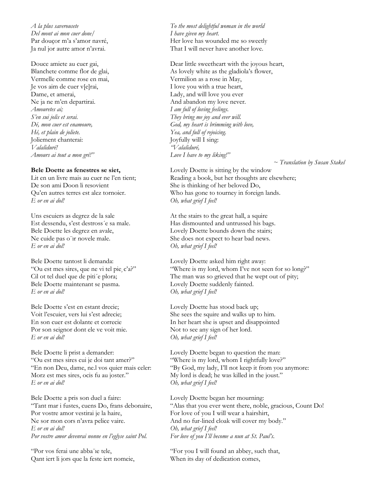*A la plus saverousete Del mont ai mon cuer done/* Par douçor m'a s'amor navré, Ja nul jor autre amor n'avrai.

Douce amiete au cuer gai, Blanchete comme flor de glai, Vermelle comme rose en mai, Je vos aim de cuer v[e]rai, Dame, et amerai, Ne ja ne m'en departirai. *Amouretes ai; S'en sui jolis et serai. Dé, mon cuer est enamoure, Hé, et plain de joliete.* Joliement chanterai: *Valaliduré! Amours ai tout a mon gré!"*

### **Bele Doette as fenestres se siet,**

Lit en un livre mais au cuer ne l'en tient; De son ami Doon li resovient Qu'en autres terres est alez tornoier. *E or en ai dol!*

Uns escuiers as degrez de la sale Est dessendu, s'est destross´e sa male. Bele Doette les degrez en avale, Ne cuide pas o"ir novele male. *E or en ai dol!*

Bele Doette tantost li demanda: "Ou est mes sires, que ne vi tel pie¸c'a?" Cil ot tel duel que de piti´e plora; Bele Doette maintenant se pasma. *E or en ai dol!*

Bele Doette s'est en estant drecie; Voit l'escuier, vers lui s'est adrecie; En son cuer est dolante et correcie Por son seignor dont ele ve voit mie. *E or en ai dol!*

Bele Doette li prist a demander: "Ou est mes sires cui je doi tant amer?" "En non Deu, dame, ne.l vos quier mais celer: Morz est mes sires, ocis fu au joster." *E or en ai dol!*

Bele Doette a pris son duel a faire: "Tant mar i fustes, cuens Do, frans debonaire, Por vostre amor vestirai je la haire, Ne sor mon cors n'avra pelice vaire. *E or en ai dol! Por vostre amor devenrai nonne en l'eglyse saint Pol.*

"Por vos ferai une abba¨ıe tele, Qant iert li jors que la feste iert nomeie,

*To the most delightful woman in the world I have given my heart.*  Her love has wounded me so sweetly That I will never have another love.

Dear little sweetheart with the joyous heart, As lovely white as the gladiola's flower, Vermilion as a rose in May, I love you with a true heart, Lady, and will love you ever And abandon my love never. *I am full of loving feelings. They bring me joy and ever will. God, my heart is brimming with love, Yea, and full of rejoicing.* Joyfully will I sing: *"Valaliduré, Love I have to my liking!"*

*~ Translation by Susan Stakel*

Lovely Doette is sitting by the window Reading a book, but her thoughts are elsewhere; She is thinking of her beloved Do, Who has gone to tourney in foreign lands. *Oh, what grief I feel!*

At the stairs to the great hall, a squire Has dismounted and untrussed his bags. Lovely Doette bounds down the stairs; She does not expect to hear bad news. *Oh, what grief I feel!*

Lovely Doette asked him right away: "Where is my lord, whom I've not seen for so long?" The man was so grieved that he wept out of pity; Lovely Doette suddenly fainted. *Oh, what grief I feel!*

Lovely Doette has stood back up; She sees the squire and walks up to him. In her heart she is upset and disappointed Not to see any sign of her lord. *Oh, what grief I feel!*

Lovely Doette began to question the man: "Where is my lord, whom I rightfully love?" "By God, my lady, I'll not keep it from you anymore: My lord is dead; he was killed in the joust." *Oh, what grief I feel!*

Lovely Doette began her mourning: "Alas that you ever went there, noble, gracious, Count Do! For love of you I will wear a hairshirt, And no fur-lined cloak will cover my body." *Oh, what grief I feel! For love of you I'll become a nun at St. Paul's.*

"For you I will found an abbey, such that, When its day of dedication comes,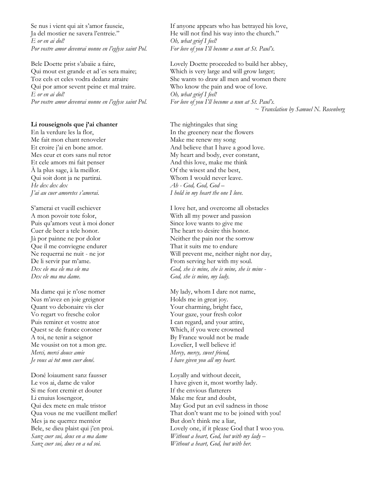Se nus i vient qui ait s'amor fauseie, Ja del mostier ne savera l'entreie." *E or en ai dol! Por vostre amor devenrai nonne en l'eglyse saint Pol.*

Bele Doette prist s'abaiie a faire, Qui mout est grande et ad´es sera maire; Toz cels et celes vodra dedanz atraire Qui por amor sevent peine et mal traire. *E or en ai dol! Por vostre amor devenrai nonne en l'eglyse saint Pol.*

### **Li rouseignols que j'ai chanter**

En la verdure les la flor, Me fait mon chant renoveler Et croire j'ai en bone amor. Mes ceur et cors sans nul retor Et cele amors mi fait penser À la plus sage, à la meillor. Qui soit dont ja ne partirai. *He dex dex dex J'ai au cuer amoretes s'amerai.*

S'amerai et vueill eschiever A mon povoir tote folor, Puis qu'amors veut à moi doner Cuer de beer a tele honor. Jà por painne ne por dolor Que il me conviegne endurer Ne requerrai ne nuit - ne jor De li servir par m'ame. *Dex ele ma ele ma ele ma Dex ele ma ma dame.*

Ma dame qui je n'ose nomer Nus m'avez en joie greignor Quant vo debonaire vis cler Vo regart vo fresche color Puis remirer et vostre ator Quest se de france coroner A toi, ne tenir a seignor Me vousist on tot a mon gre. *Merci, merci douce amie Je vous ai tot mon cuer doné.*

Doné loiaument sanz fausser Le vos ai, dame de valor Si me font cremir et douter Li enuius losengeor, Qui dex mete en male tristor Qua vous ne me vueillent meller! Mes ja ne querrez mentéor Bele, se dieu plaist qui j'en proi. *Sanz cuer sui, deus en a ma dame Sanz cuer sui, dues en a od soi.*

If anyone appears who has betrayed his love, He will not find his way into the church." *Oh, what grief I feel! For love of you I'll become a nun at St. Paul's.*

Lovely Doette proceeded to build her abbey, Which is very large and will grow larger; She wants to draw all men and women there Who know the pain and woe of love. *Oh, what grief I feel! For love of you I'll become a nun at St. Paul's.*

*~ Translation by Samuel N. Rosenberg*

The nightingales that sing In the greenery near the flowers Make me renew my song And believe that I have a good love. My heart and body, ever constant, And this love, make me think Of the wisest and the best, Whom I would never leave. *Ah - God, God, God – I hold in my heart the one I love.* 

I love her, and overcome all obstacles With all my power and passion Since love wants to give me The heart to desire this honor. Neither the pain nor the sorrow That it suits me to endure Will prevent me, neither night nor day, From serving her with my soul. *God, she is mine, she is mine, she is mine - God, she is mine, my lady.*

My lady, whom I dare not name, Holds me in great joy. Your charming, bright face, Your gaze, your fresh color I can regard, and your attire, Which, if you were crowned By France would not be made Lovelier, I well believe it! *Mercy, mercy, sweet friend, I have given you all my heart.*

Loyally and without deceit, I have given it, most worthy lady. If the envious flatterers Make me fear and doubt, May God put an evil sadness in those That don't want me to be joined with you! But don't think me a liar, Lovely one, if it please God that I woo you. *Without a heart, God, but with my lady – Without a heart, God, but with her.*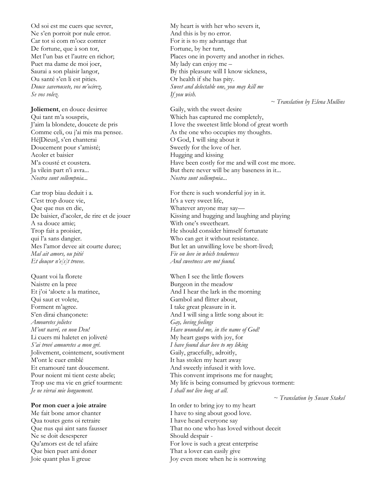Od soi est me cuers que sevrer, Ne s'en porroit por nule error. Car tot si com m'oez comter De fortune, que à son tor, Met l'un bas et l'autre en richor; Puet ma dame de moi joer, Saurai a son plaisir langor, Ou santé s'en li est pities. *Douce saverousete, vos m'ocirez, Se vos volez.*

**Joliement**, en douce desirree Qui tant m'a souspris, J'aim la blondete, doucete de pris Comme celi, ou j'ai mis ma pensee. Hé[Dieus], s'en chanterai Doucement pour s'amisté; Acoler et baisier M'a cousté et coustera. Ja vilein part n'i avra... *Nostra sunt sollempnia...*

Car trop biau deduit i a. C'est trop douce vie, Que que nus en die, De baisier, d'acoler, de rire et de jouer A sa douce amie; Trop fait a proisier, qui l'a sans dangier. Mes l'amor devee ait courte duree; *Mal ait amors, ou pitié Et douçor n'e[s]t trovee*.

Quant voi la florete Naistre en la pree Et j'oi 'aloete a la matinee, Qui saut et volete, Forment m'agree. S'en dirai chançonete: *Amouretes jolietes M'ont navré, en non Deu!* Li cuers mi haletet en joliveté *S'ai trové amouretes a mon gré.* Jolivement, cointement, soutivment M'ont le cuer emblé Et enamouré tant doucement. Pour noient mi tient ceste abeïe; Trop use ma vie en grief tourment: *Je ne vivrai mie longuement.*

**Por mon cuer a joie atraire** Me fait bone amor chanter Qua toutes gens oi retraire Que nus qui aint sans fausser Ne se doit desesperer Qu'amors est de tel afaire Que bien puet ami doner Joie quant plus li greue

My heart is with her who severs it, And this is by no error. For it is to my advantage that Fortune, by her turn, Places one in poverty and another in riches. My lady can enjoy me – By this pleasure will I know sickness, Or health if she has pity. *Sweet and delectable one, you may kill me If you wish.*

*~ Translation by Elena Mullins*

Gaily, with the sweet desire Which has captured me completely, I love the sweetest little blond of great worth As the one who occupies my thoughts. O God, I will sing about it Sweetly for the love of her. Hugging and kissing Have been costly for me and will cost me more. But there never will be any baseness in it... *Nostra sunt sollempnia*...

For there is such wonderful joy in it. It's a very sweet life, Whatever anyone may say— Kissing and hugging and laughing and playing With one's sweetheart. He should consider himself fortunate Who can get it without resistance. But let an unwilling love be short-lived; *Fie on love in which tenderness And sweetness are not found.*

When I see the little flowers Burgeon in the meadow And I hear the lark in the morning Gambol and flitter about, I take great pleasure in it. And I will sing a little song about it: *Gay, loving feelings Have wounded me, in the name of God!* My heart gasps with joy, for *I have found dear love to my liking* Gaily, gracefully, adroitly, It has stolen my heart away And sweetly infused it with love. This convent imprisons me for naught; My life is being consumed by grievous torment: *I shall not live long at all*.

*~ Translation by Susan Stakel*

In order to bring joy to my heart I have to sing about good love. I have heard everyone say That no one who has loved without deceit Should despair - For love is such a great enterprise That a lover can easily give Joy even more when he is sorrowing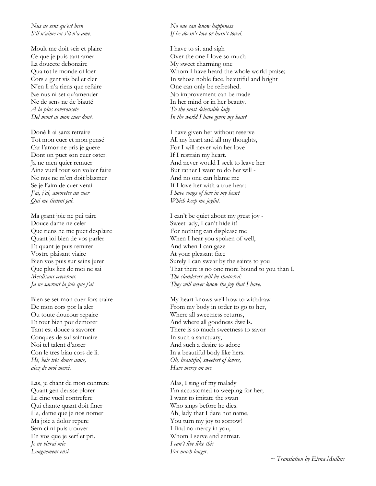### *Nus ne sent qu'est bien S'il n'aime ou s'il n'a ame.*

Moult me doit seir et plaire Ce que je puis tant amer La doucete debonaire Qua tot le monde oi loer Cors a gent vis bel et cler N'en li n'a riens que refaire Ne nus ni set qu'amender Ne de sens ne de biauté *A la plus saverousete Del mont ai mon cuer doné.*

Doné li ai sanz retraire Tot mon cuer et mon pensé Car l'amor ne pris je guere Dont on puet son cuer oster. Ja ne men quier remuer Ainz vueil tout son voloir faire Ne nus ne m'en doit blasmer Se je l'aim de cuer verai *J'ai, j'ai, amoretes au cuer Qui me tienent gai.*

Ma grant joie ne pui taire Douce dame ne celer Que riens ne me puet desplaire Quant joi bien de vos parler Et quant je puis remirer Vostre plaisant viaire Bien vos puis sur sains jurer Que plus liez de moi ne sai *Mesdisans creveront, Ja ne savront la joie que j'ai.*

Bien se set mon cuer fors traire De mon cors por la aler Ou toute doucour repaire Et tout bien por demorer Tant est douce a savorer Conques de sul saintuaire Noi tel talent d'aorer Con le tres biau cors de li. *Hé, bele trés douce amie, aiez de moi merci.*

Las, je chant de mon contrere Quant gen deusse plorer Le cine vueil contrefere Qui chante quant doit finer Ha, dame que je nos nomer Ma joie a dolor repere Sem ci ni puis trouver En vos que je serf et pri. *Je ne vivrai mie Longuement ensi.*

### *No one can know happiness If he doesn't love or hasn't loved.*

I have to sit and sigh Over the one I love so much My sweet charming one Whom I have heard the whole world praise; In whose noble face, beautiful and bright One can only be refreshed. No improvement can be made In her mind or in her beauty. *To the most delectable lady In the world I have given my heart*

I have given her without reserve All my heart and all my thoughts, For I will never win her love If I restrain my heart. And never would I seek to leave her But rather I want to do her will - And no one can blame me If I love her with a true heart *I have songs of love in my heart Which keep me joyful.*

I can't be quiet about my great joy - Sweet lady, I can't hide it! For nothing can displease me When I hear you spoken of well, And when I can gaze At your pleasant face Surely I can swear by the saints to you That there is no one more bound to you than I. *The slanderers will be shattered: They will never know the joy that I have.*

My heart knows well how to withdraw From my body in order to go to her, Where all sweetness returns, And where all goodness dwells. There is so much sweetness to savor In such a sanctuary, And such a desire to adore In a beautiful body like hers. *Oh, beautiful, sweetest of lovers, Have mercy on me.*

Alas, I sing of my malady I'm accustomed to weeping for her; I want to imitate the swan Who sings before he dies. Ah, lady that I dare not name, You turn my joy to sorrow! I find no mercy in you, Whom I serve and entreat. *I can't live like this For much longer.*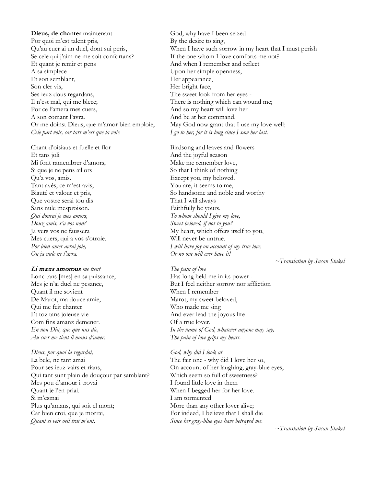**Dieus, de chanter** maintenant Por quoi m'est talent pris, Qu'au cuer ai un duel, dont sui peris, Se cele qui j'aim ne me soit confortans? Et quant je remir et pens A sa simplece Et son semblant, Son cler vis, Ses ieuz dous regardans, Il n'est mal, qui me blece; Por ce l'amera mes cuers, A son comant l'avra. Or me doinst Dieus, que m'amor bien emploie, *Cele part vois, car tart m'est que la voie.*

Chant d'oisiaus et fuelle et flor Et tans joli Mi font ramembrer d'amors, Si que je ne pens aillors Qu'a vos, amis. Tant avés, ce m'est avis, Biauté et valour et pris, Que vostre serai tou dis Sans nule mesproison. *Qui donrai je mes amors, Douz amis, s'a vos non?* Ja vers vos ne faussera Mes cuers, qui a vos s'otroie. *Por bien amer avrai joie, Ou ja nule ne l'avra.*

### Li maus amorous *me tient*

Lonc tans [mes] en sa puissance, Mes je n'ai duel ne pesance, Quant il me sovient De Marot, ma douce amie, Qui me feit chanter Et toz tans joieuse vie Com fins amanz demener. *En non Diu, que que nus die, Au cuer me tient li maus d'amer.*

### *Dieus, por quoi la regardai,*

La bele, ne tant amai Pour ses ieuz vairs et rians, Qui tant sunt plain de douçour par samblant? Mes pou d'amour i trovai Quant je l'en priai. Si m'esmai Plus qu'amans, qui soit el mont; Car bien croi, que je morrai, *Quant si veir oeil traï m'ont*.

God, why have I been seized By the desire to sing, When I have such sorrow in my heart that I must perish If the one whom I love comforts me not? And when I remember and reflect Upon her simple openness, Her appearance, Her bright face, The sweet look from her eyes - There is nothing which can wound me; And so my heart will love her And be at her command. May God now grant that I use my love well; *I go to her, for it is long since I saw her last.*

Birdsong and leaves and flowers And the joyful season Make me remember love, So that I think of nothing Except you, my beloved. You are, it seems to me, So handsome and noble and worthy That I will always Faithfully be yours. *To whom should I give my love, Sweet beloved, if not to you?*  My heart, which offers itself to you, Will never be untrue. *I will have joy on account of my true love, Or no one will ever have it!* 

*~Translation by Susan Stakel*

### *The pain of love*

Has long held me in its power - But I feel neither sorrow nor affliction When I remember Marot, my sweet beloved, Who made me sing And ever lead the joyous life Of a true lover. *In the name of God, whatever anyone may say, The pain of love grips my heart*.

### *God, why did I look at*

The fair one - why did I love her so, On account of her laughing, gray-blue eyes, Which seem so full of sweetness? I found little love in them When I begged her for her love. I am tormented More than any other lover alive; For indeed, I believe that I shall die *Since her gray-blue eyes have betrayed me*.

*~Translation by Susan Stakel*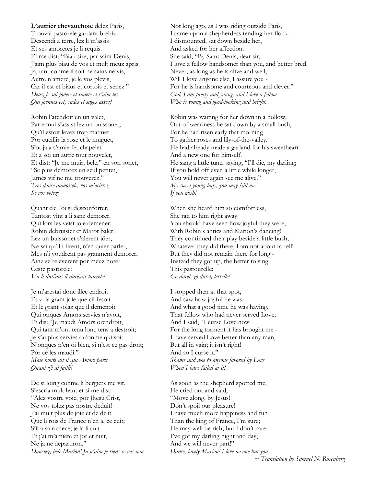**L'autrier chevauchoie** delez Paris, Trouvai pastorele gardant brebiz; Descendi a terre, lez li m'assis Et ses amoretes je li requis. El me dist: "Biau sire, par saint Denis, J'aim plus biau de vos et mult meuz apris. Ja, tant conme il soit ne sains ne vis, Autre n'ameré, je le vos plevis, Car il est et biaus et cortois et senez." *Deus, je sui jonete et sadete et s'aim tes Qui joennes est, sades et sages assez!*

Robin l'atendoit en un valet, Par ennui s'assist lez un buissonet, Qu'il estoit levez trop matinet Por cueillir la rose et le muguet, S'ot ja a s'amie fet chapelet Et a soi un autre tout nouvelet, Et dist: "Je me muir, bele," en son sonet, "Se plus demorez un seul petitet, Jamés vif ne me trouverez." *Tres douce damoisele, vos m'ocirrez Se vos volez!*

Quant ele l'oï si desconforter, Tantost vint a li sanz demorer. Qui lors les veïst joie demener, Robin debruisier et Marot baler! Lez un buissonet s'alerent jöer, Ne sai qu'il i firent, n'en quier parler, Mes n'i voudrent pas granment demorer, Ainz se releverent por meuz noter Ceste pastorele: *Va li durëaus li durëaus lairrele!*

Je m'arestai donc illec endroit Et vi la grant joie que cil fesoit Et le grant solaz que il demenoit Qui onques Amors servies n'avoit, Et dis: "Je maudi Amors orendroit, Qui tant m'ont tenu lonc tens a destroit; Je s'ai plus servies qu'onme qui soit N'onques n'en oi bien, si n'est ce pas droit; Por ce les maudi." *Male honte ait il qui Amors parti Quant g'i ai failli!*

De si loing conme li bergiers me vit, S'escria mult haut et si me dist: "Alez vostre voie, por Jhesu Crist, Ne vos tolez pas nostre deduit! J'ai mult plus de joie et de delit Que li rois de France n'en a, ce cuit; S'il a sa richece, je la li cuit Et j'ai m'amïete et jor et nuit, Ne ja ne departiron." *Danciez, bele Marion! Ja n'aim je riens se vos non.* Not long ago, as I was riding outside Paris, I came upon a shepherdess tending her flock. I dismounted, sat down beside her, And asked for her affection. She said, "By Saint Denis, dear sir, I love a fellow handsomer than you, and better bred. Never, as long as he is alive and well, Will I love anyone else, I assure you - For he is handsome and courteous and clever." *God, I am pretty and young, and I love a fellow Who is young and good-looking and bright.*

Robin was waiting for her down in a hollow; Out of weariness he sat down by a small bush, For he had risen early that morning To gather roses and lily-of-the-valley. He had already made a garland for his sweetheart And a new one for himself. He sang a little tune, saying, "I'll die, my darling; If you hold off even a little while longer, You will never again see me alive." *My sweet young lady, you may kill me If you wish!*

When she heard him so comfortless, She ran to him right away. You should have seen how joyful they were, With Robin's antics and Marion's dancing! They continued their play beside a little bush; Whatever they did there, I am not about to tell! But they did not remain there for long - Instead they got up, the better to sing This pastourelle: *Go durel, go durel, lerrelle!*

I stopped then at that spot, And saw how joyful he was And what a good time he was having, That fellow who had never served Love; And I said, "I curse Love now For the long torment it has brought me - I have served Love better than any man, But all in vain; it isn't right! And so I curse it." *Shame and woe to anyone favored by Love When I have failed at it!*

As soon as the shepherd spotted me, He cried out and said, "Move along, by Jesus! Don't spoil our pleasure! I have much more happiness and fun Than the king of France, I'm sure; He may well be rich, but I don't care - I've got my darling night and day, And we will never part!" *Dance, lovely Marion! I love no one but you.*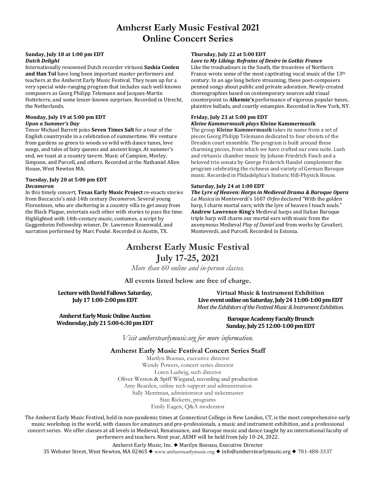## **Amherst Early Music Festival 2021 Online Concert Series**

### **Sunday, July 18 at 1:00 pm EDT** *Dutch Delight*

Internationally renowned Dutch recorder virtuosi **Saskia Coolen and Han Tol** have long been important master performers and teachers at the Amherst Early Music Festival. They team up for a very special wide-ranging program that includes such well-known composers as Georg Philipp Telemann and Jacques-Martin Hotteterre, and some lesser-known surprises. Recorded in Utrecht, the Netherlands.

### **Monday, July 19 at 5:00 pm EDT** *Upon a Summer's Day*

Tenor Michael Barrett joins **Seven Times Salt** for a tour of the English countryside in a celebration of summertime. We venture from gardens so green to woods so wild with dance tunes, love songs, and tales of fairy queens and ancient kings. At summer's end, we toast at a country tavern. Music of Campion, Morley, Simpson, and Purcell, and others. Recorded at the Nathaniel Allen House, West Newton MA.

### **Tuesday, July 20 at 5:00 pm EDT** *Decameron*

In this timely concert, **Texas Early Music Project** re-enacts stories from Boccaccio's mid-14th century *Decameron*. Several young Florentines, who are sheltering in a country villa to get away from the Black Plague, entertain each other with stories to pass the time. Highlighted with 14th-century music, costumes, a script by Guggenheim Fellowship winner, Dr. Lawrence Rosenwald, and narration performed by Marc Pouhé. Recorded in Austin, TX.

### **Thursday, July 22 at 5:00 EDT**

### *Love to My Liking: Refrains of Desire in Gothic France*

Like the troubadours in the South, the trouvères of Northern France wrote some of the most captivating vocal music of the 13<sup>th</sup> century. In an age long before streaming, these poet-composers penned songs about public and private adoration. Newly-created choreographies based on contemporary sources add visual counterpoint to **Alkemie's** performance of vigorous popular tunes, plaintive ballads, and courtly estampies. Recorded in New York, NY.

### **Friday, July 23 at 5:00 pm EDT**

### *Kleine Kammermusik plays* **Kleine Kammermusik**

The group **Kleine Kammermusik** takes its name from a set of pieces Georg Philipp Telemann dedicated to four oboists of the Dresden court ensemble. The program is built around these charming pieces, from which we have crafted our own suite. Lush and virtuosic chamber music by Johann Friedrich Fasch and a beloved trio sonata by George Friderich Handel complement the program celebrating the richness and variety of German Baroque music. Recorded in Philadelphia's historic Hill-Physick House.

### **Saturday, July 24 at 1:00 EDT**

*The Lyre of Heaven: Harps in Medieval Drama & Baroque Opera La Musica* in Monteverdi's 1607 *Orfeo* declared "With the golden harp, I charm mortal ears; with the lyre of heaven I touch souls." **Andrew Lawrence-King's** Medieval harps and Italian Baroque triple harp will charm our mortal ears with music from the anonymous Medieval *Play of Daniel* and from works by Cavalieri, Monteverdi, and Purcell. Recorded in Estonia.

## **Amherst Early Music Festival July 17-25, 2021**

*More than 60 online and in-person classes.*

**All events listed below are free of charge.**

**Lecture with David Fallows Saturday, July 17 1:00-2:00 pm EDT** 

**Virtual Music & Instrument Exhibition Live event online on Saturday, July 24 11:00-1:00 pm EDT** *Meet the Exhibitors of the Festival Music & Instrument Exhibition.*

**Amherst Early Music Online Auction Wednesday, July 21 5:00-6:30 pm EDT**

**Baroque Academy Faculty Brunch Sunday, July 25 12:00-1:00 pm EDT**

*Visit amherstearlymusic.org for more information.*

### **Amherst Early Music Festival Concert Series Staff**

Marilyn Boenau, executive director Wendy Powers, concert series director Loren Ludwig, tech director Oliver Weston & Spiff Wiegand, recording and production Amy Bearden, online tech support and administration Sally Merriman, administrator and ticketmaster Sian Ricketts, programs Emily Eagen, Q&A moderator

The Amherst Early Music Festival, held in non-pandemic times at Connecticut College in New London, CT, is the most comprehensive early music workshop in the world, with classes for amateurs and pre-professionals, a music and instrument exhibition, and a professional concert series. We offer classes at all levels in Medieval, Renaissance, and Baroque music and dance taught by an international faculty of performers and teachers. Next year, AEMF will be held from July 10-24, 2022.

Amherst Early Music, Inc. ◆ Marilyn Boenau, Executive Director

35 Webster Street, West Newton, MA 02465 ◆ www.amherstearlymusic.org ◆ info@amherstearlymusic.org ◆ 781-488-3337